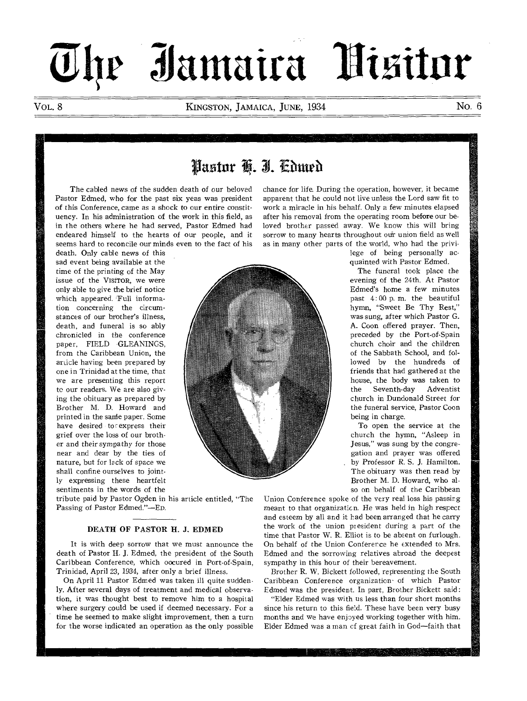# $\overline{U}$ he Jamaira Hisitor

Vol. 8 KINGSTON, JAMAICA, JUNE, 1934 No. 6

# Pastor H. I. Cdmed

The cabled news of the sudden death of our beloved Pastor Edmed, who for the past six yeas was president of this Conference, came as a shock to our entire constituency. In his administration of the work in this field, as in the others where he had served, Pastor Edmed had endeared himself to the hearts of our people, and it seems hard to reconcile our minds even to the fact of his

death. Only cable news of this sad event being available at the time of the printing of the May issue of the VisrroR, we were only able to give the brief notice which appeared. Full information concerning the circumstances of our brother's illness, death, and funeral is so ably chronicled in the conference paper, FIELD GLEANINGS, from the Caribbean Union, the article having been prepared by one in Trinidad at the time, that we are presenting this report to our readers. We are also giving the obituary as prepared by Brother M. D. Howard and printed in the same paper. Some have desired to cexpress their grief over the loss of our brother and their sympathy for those near and dear by the ties of nature, but for lack of space we shall confine ourselves to jointly expressing these heartfelt sentiments in the words of the **chance for life. During the operation, however, it** became **apparent that he could not live unless the Lord saw fit to work a miracle in his behalf. Only a few minutes elapsed after his removal from the operating room before our beloved brother passed away. We know this will bring**  sorrow to many hearts throughout our union field as well **as in many other parts of the world, who had the privi-**



tribute paid by Pastor Ogden in his article entitled, "The Passing of Pastor Edmed."—En.

# **DEATH OF PASTOR H. J. EDMED**

It is with deep sorrow that we must announce the death of Pastor H. **J.** Edmed, the president of the South Caribbean Conference, which oocured in Port-of-Spain, Trinidad, April 23, 1934, after only a brief illness.

On April **11** Pastor Edmed was taken ill quite suddenly. After several days of treatment and medical observation, it was thought best to remove him to a hospital where surgery could be used if deemed necessary. For a time he seemed to make slight improvement, then a turn for the worse indicated an operation as the only possible **lege of being personally acquainted with Pastor Edmed.** 

**The funeral took place the evening of the 24th. At Pastor Edmed's home a few minutes past 4: 00 p. m. the beautiful hymn, "Sweet Be Thy Rest," was sung, after which Pastor G. A. Coon offered prayer. Then, preceded by the Port-of-Spain church choir and the children of the Sabbath School, and followed by the hundreds of friends that had gathered at the house, the body was taken to the Seventh-day Adventist church in Dundonald Street for the funeral service, Pastor Coon being in charge.** 

**To open the service at the church the hymn, "Asleep in Jesus," was sung by the congregation and prayer was offered by Professor R. S. J. Hamilton. The obituary was then read by Brother M. D. Howard, who also on behalf of the Caribbean** 

Union Conference **spoke of the very real loss his passing**  meant to that organizaticn. **He was held in high respect**  and esteem by all and it had **been arranged that he carry**  the work of the union president **during a part of the**  time that Pastor W. R. Elliot is to **be absent on furlough.**  On behalf of the Union Conference **he extended to Mrs.**  Edmed and the sorrowing relatives abroad the **deepest**  sympathy in this hour of their bereavement.

Brother R. W. Bickett followed, representing the **South**  Caribbean Conference organization- of **which Pastor**  Edmed was the president. In part, Brother **Bickett said:** 

"Elder Edmed was with us less than four short **months**  since his return to this field. These have been very **busy**  months and we have enjoyed working together **with him.**  Elder Edmed was a man cf great faith in God—faith **that**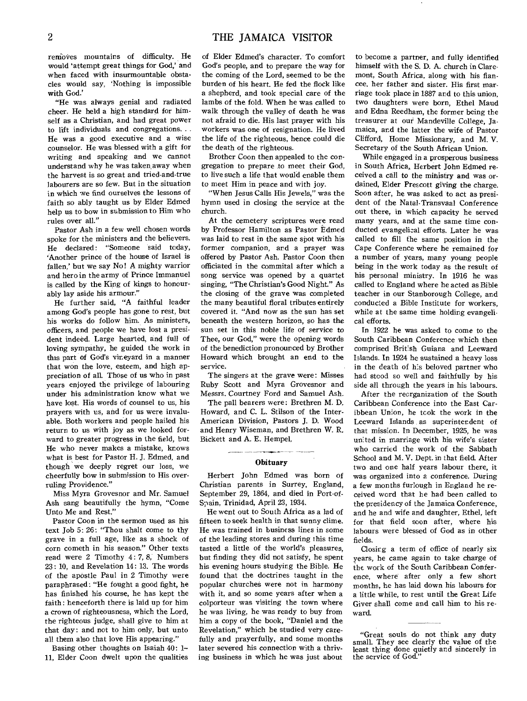removes mountains of difficulty. He would 'attempt great things for God,' and when faced with insurmountable obstacles would say, 'Nothing is impossible with God.'

"He was always genial and radiated cheer. He held a high standard for himself as a Christian, and had great power to lift individuals and congregations.. . He was a good executive and a wise counselor. He was blessed with a gift for writing and speaking and we cannot understand why he was taken away when the harvest is so great and tried-and-true labourers are so few. But in the situation in which we find ourselves the lessons of faith so ably taught us by Elder Edmed help us to bow in submission to Him who rules over all."

Pastor Ash in a few well chosen words spoke for the ministers and the believers. He declared: "Someone said today, 'Another prince of the house of Israel is fallen,' but we say No! A mighty warrior and hero in the army of Prince Immanuel is called by the Xing of kings to honourably lay aside his armour."

He further said, "A faithful leader among God's people has gone to rest, but his works do follow him. As ministers, officers, and people we have lost a president indeed. Large hearted, and full of loving sympathy, he guided the work in this part of God's vineyard in a manner that won the love, esteem, and high appreciation of all. Those of us who in past years enjoyed the privilege of labouring under his administration know what we have lost. His words of counsel to us, his prayers with us, and for us were invaluable. Both workers and people hailed his return to us with joy as we looked forward to greater progress in the field, but He who never makes a mistake, knows what is best for Pastor H. J. Edmed, and though we deeply regret our loss, we cheerfully bow in submission to His overruling Providence."

Miss Myra Grovesnor and Mr. Samuel Ash sang beautifully the hymn, "Come Unto Me and Rest."

Pastor Coon in the sermon used as his text Job 5: 26: "Thou shalt come to thy grave in a full age, like as a shock of corn cometh in his season." Other texts read were 2 Timothy 4: 7, 8, Numbers 23: 10, and Revelation 14: 13. The words of the apostle Paul in 2 Timothy were paraphrased: "He fought a good fight, he has finished his course, he has kept the faith: henceforth there is laid up for him a crown of righteousness, which the Lord, the righteous judge, shall give to him at that day: and not to him only, but unto all them also that love His appearing."

Basing other thoughts on Isaiah 40: 1- 11, Elder Coon dwelt upon the qualities of Elder Edmed's character. To comfort God's people, and to prepare the way for the coming of the Lord, seemed to be the burden of his heart. He fed the flock like a shepherd, and took special care of the lambs of the fold. When he was called to walk through the valley of death he was not afraid to die. His last prayer with his workers was one of resignation. He lived the life of the righteous, hence could die the death of the righteous.

Brother Coon then appealed to the congregation to prepare to meet their God, to live such a life that would enable them to meet Him in peace and with joy.

"When Jesus Calls His Jewels," was the hymn used in closing the service at the church.

At the cemetery scriptures were read by Professor Hamilton as Pastor Edmed was laid to rest in the same spot with his former companion, and a prayer was offered by Pastor Ash. Pastor Coon then officiated in the commital after which a song service was opened by a quartet singing, "The Christian's Good Night." As the closing of the grave was completed the many beautiful floral tributes entirely covered it. "And now as the sun has set beneath the western horizon, so has the sun set in this noble life of service to Thee, our God," were the opening words of the benediction pronounced by Brother Howard which brought an end to the service.

The singers at the grave were: Misses Ruby Scott and Myra Grovesnor and Messrs. Courtney Ford and Samuel Ash.

The pall bearers were: Brethren M. D. Howard, and C. L. Stilson of the Inter-American Division, Pastors J. D. Wood and Henry Wiseman, and Brethren W. R. Bickett and A. E. Hempel,

# Obituary

Herbert John Edmed was born of Christian parents in Surrey, England, September 29, 1864, and died in Port-of-Spain, Trinidad, April 23, 1934.

He went out to South Africa as a lad of fifteen to seek health in that sunny clime. He was trained in business lines in some of the leading stores and during this time tasted a little of the world's pleasures, but finding they did not satisfy, he spent his evening hours studying the Bible. He found that the doctrines taught in the popular churches were not in harmony with it, and so some years after when a colporteur was visiting the town where he was living, he was ready to buy from him a copy of the book, "Daniel and the Revelation," which he studied very carefully and prayerfully, and some months later severed his connection with a thriving business in which he was just about

to become a partner, and fully identified himself with the S. D. A. church in Claremont, South Africa, along with his fiancee, her father and sister. His first marriage took place in 1887 and to this union, two daughters were born, Ethel Maud and Edna Reedham, the former being the treasurer at our Mandeville College, Jamaica, and the latter the wife of Pastor Clifford, Home Missionary, and M. V. Secretary of the South African Union.

While engaged in a prosperous business in South Africa, Herbert John Edmed received a call to the ministry and was ordained, Elder Prescott giving the charge. Soon after, he was asked to act as president of the Natal-Transvaal Conference out there, in which capacity he served many years, and at the same time conducted evangelical efforts. Later he was called to fill the same position in the Cape Conference where he remained for a number of years, many young people being in the work today as the result of his personal ministry. In 1916 he was called to England where he acted as Bible teacher in our Stanborough College, and conducted a Bible Institute for workers, while at the same time holding evangelical efforts.

In 1922 he was asked to come to the South Caribbean Conference which then comprised British Guiana and Leeward Islands. In 1924 he sustained a heavy loss in the death of his beloved partner who had stood so well and faithfully by his side all through the years in his labours.

After the reorganization of the South Caribbean Conference into the East Caribbean Union, he took the work in the Leeward Islands as superintendent of that mission. In December, 1925, he was united in marriage with his wife's sister who carried the work of the Sabbath School and M. V. Dept. in that field. After two and one half years labour there, it was organized into a conference. During a few months furlough in England he received word that he had been called to the presidency of the Jamaica Conference, and he and wife and daughter, Ethel, left for that field soon after, where his labours were blessed of God as in other fields.

Closing a term of office of nearly six years, he came again to take charge of the work of the South Caribbean Conference, where after only a few short months, he has laid down his labours for a little while, to rest until the Great Life Giver shall come and call him to his reward.

<sup>&</sup>quot;Great souls do not think any duty small. They see clearly the value of the least thing done quietly and sincerely in the service of God."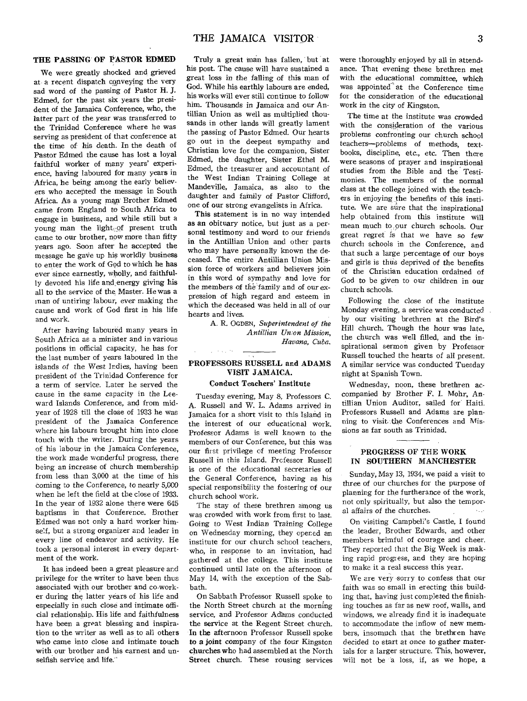# **THE PASSING OF PASTOR EDMED**

We were greatly shocked and grieved at a recent dispatch conveying the very sad word of the passing of Pastor H. J. Edmed, for the past six years the president of the Jamaica Conference, who, the latter part of the year was transferred to the Trinidad Conference where he was serving as president of that conference at the time of his death. In the death of Pastor Edmed the cause has lost a loyal faithful worker of many years' experience, having laboured for many years in Africa, he being among the early believers who accepted the message in South Africa. As a young man Brother Edmed came from England to South Africa to engage in business, and while still but a young man the light of present truth came to our brother, now more than fifty years ago. Soon after he accepted the message he gave up his worldly business to enter the work of God to which he has ever since earnestly, wholly, and faithfully devoted his life and:energy giving his all to the service of the Master. He was a man of untiring' labour, ever making the cause and work of God first in his life and work.

After having laboured many years in South Africa as a minister and in various positions in official capacity, he has for the last number of years laboured In the islands of the West Indies, having been president of the Trinidad Conference for a term of service. Later he served the cause in the same capacity in the Leeward Islands Conference, and from midyear of 1928 till the close of 1933 he was president of the Jamaica Conference where his labours brought him into close touch with the writer. During the years of his labour in the Jamaica Conference, the work made wonderful progress, there being an increase of church membership from less than 3,000 at the time of his coming to the Conference, to nearly 5,000 when he left the field at the close of 1933. In the year of 1932 alone there were 645 baptisms in that Conference. Brother Edmed was not only a hard worker himself, but a strong organizer and leader in every line of endeavor and activity. He took a personal interest in every department of the work.

It has indeed been a great pleasure and privilege for the writer to have been thus associated with our brother and co-worker during the latter years of his life and especially in such close and intimate official relationship. His life and faithfulness have been a great blessing and inspiration to the writer as well as to all others who came into close and intimate touch with our brother and his earnest and unselfish service and life.

Truly a great man has fallen, but at his post. The cause will have sustained a great loss in the falling of this man of God. While his earthly labours are ended, his works will ever still continue to follow him. Thousands in Jamaica and our Antillian Union as well as multiplied thousands in other lands will greatly lament the passing of Pastor Edmed. Our hearts go out in the deepest sympathy and Christian love for the companion, Sister Edmed, the daughter, Sister Ethel M. Edmed, the treasurer and accountant of the West Indian Training College at Mandeville, Jamaica, as also to the daughter and family of Pastor Clifford, one of our strong evangelists in Africa.

This statement is in no way intended as an obituary notice, but just as a personal testimony and word to our friends in the Antillian Union and other parts who may have personally known the deceased. The entire Antillian Union Mission force of workers and believers join in this word of sympathy and love for the members of the family and of our expression of high regard and esteem in which the deceased was held in all of our hearts and lives.

> A. R. OGDEN, *Superintendent of the Antillian Un;on Mission, Havana, Cuba.*

# **PROFESSORS RUSSELL and ADAMS VISIT JAMAICA.**

 $\frac{1}{2}$  ,  $\frac{1}{2}$  ,  $\frac{1}{2}$  ,  $\frac{1}{2}$  ,  $\frac{1}{2}$ 

### **Conduct Teachers' Institute**

Tuesday evening, May 8, Professors C. A. Russell and W. L. Adams arrived in Jamaica for a short visit to this Island in the interest of our educational work. Professor Adams is well known to the members of our Conference, but this was our first privilege of meeting Professor Russell in this Island. Professor Russell is one of the educational secretaries of the General Conference, having as his special responsibility the fostering of our church school work.

The stay of these brethren among us was crowded with work from first to last. Going to West Indian Training College on Wednesday morning, they opened an institute for our church school teachers, who, in response to an invitation, had gathered at the college. This institute continued until late on the afternoon of May 14, with the exception of the Sabbath.

On Sabbath Professor Russell spoke to the North Street church at the morning service, and Professor Adams conducted the service at the Regent Street church. **In the afternoon** Professor Russell spoke **to a joint company** of the four Kingston churches **who** had assembled at the North Street church. These rousing services were thoroughly enjoyed by all in attendance. That evening these brethren met with the educational committee, which was appointed' at the Conference time for the consideration of the educational work in the city of Kingston.

The time at the institute was crowded with the consideration of the various problems confronting our church school teachers—problems of methods, textbooks, discipline, etc., etc. Then there were seasons of prayer and inspirational studies from the Bible and the Testimonies. The members of the normal class at the college joined with the teachers in enjoying, the benefits of this institute. We are sure that the inspirational help obtained from this institute will mean much to our church schools. Our great regret is that we have so few church schools in the Conference, and that such a large percentage of **our** boys and girls is thus deprived of the benefits of the Christian education ordained of God to be given to our children in our church schools.

Following the close of the institute Monday evening, a service was conducted by our visiting brethren at the Bird's Hill church. Though the hour was late, the church was well filled, and the inspirational sermon given by Professor Russell touched the hearts of all present. A similar service was conducted Tuesday night at Spanish Town.

Wednesday, noon, these brethren accompanied by Brother F. I. Mohr, Antillian Union Auditor, sailed for Haiti. Professors Russell and Adams are planning to visit the Conferences and Missions as far south as Trinidad.

#### **PROGRESS OF THE WORK IN SOUTHERN MANCHESTER**

Sunday, May 13, 1934, we paid a visit to three of our churches for the purpose of planning for the furtherance of the work, not only spiritually, but also the temporal affairs of the churches.  $\mathcal{N}_{\text{max}}$ 

On visiting Campbell's Castle, I found the leader, Brother Edwards, and other members brimful of courage and cheer. They reported that the Big Week is making rapid progress, and they are hoping to make it a real success this year.

We are very sorry to confess that our faith was so small in erecting this building that, having just completed the finishing touches as far as new roof, walls, and windows, we already find it is inadequate to accommodate the inflow of new members, insomuch that the brethren have decided to start at once to gather materials for a larger structure. This, however, will not be 'a loss, if, as we hope, a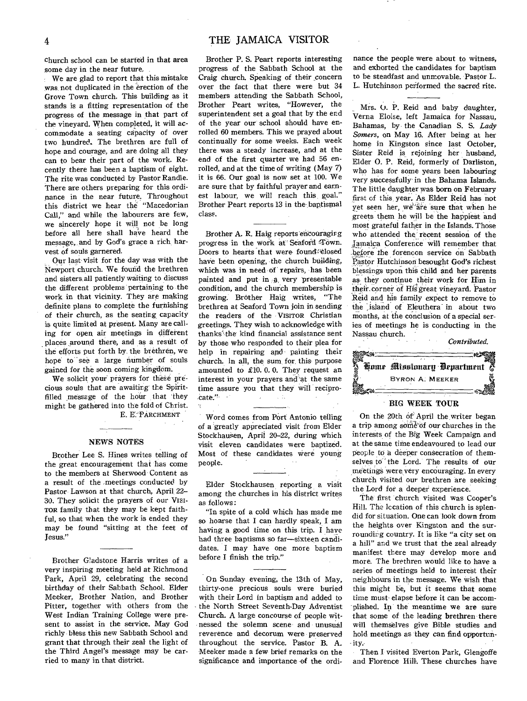church school can be started in that area some day in the near future,

We are glad to report that this mistake was not duplicated in the erection of the Grove Town church. This building as it stands is a fitting representation of the progress of the message in that part of the vineyard. When completed, it will accommodate a seating capacity of over two hundred. The brethren are full of hope and courage, and are doing all they can to bear their part of the work. Recently there has been a baptism of eight. The rite was conducted by Pastor Randle. There are others preparing for this ordinance in the near future. Throughout this district we hear the "Macedonian Call," and while the labourers are few, we sincerely hope it will not be long before all here shall have heard the message, and by God's grace a rich, harvest of souls garnered.

Our last visit for the day was with the Newport church. We found the brethren and sisters.all patiently waiting to discuss the different problems pertaining to the work in that vicinity. They are making definite plans to complete the furnishing of their church, as the seating capacity is quite limited at present. Many are calling for open air meetings in different places around there, and as a result of the efforts put forth by. the brethren, we hope to see a large number of souls gained for the soon coming kingdom.

We solicit your prayers for these precious souls that are awaiting the Spiritfilled message of the hour that 'they might be gathered into the fold of Christ. E. E.' PARCHMENT

#### NEWS NOTES

Brother Lee S. Hines writes telling of the great encouragement that has come to the members at Sherwood Content as a result of the meetings conducted by Pastor Lawson at that church, April 22-30. They solicit the prayers of our Visi-TOR family that they may be kept faithful, so that when the work is ended they may be found "sitting at the feet of Jesus."

Brother Gladstone Harris writes of a very inspiring meeting held at Richmond Park, April 29, celebrating the second birthday of their Sabbath School. Elder Meeker, Brother Nation, and Brother Pitter, together with others from the West Indian Training College were present to assist in the service. May God richly bless this new Sabbath School and grant that through their zeal the light of the Third Angel's message may be carried to many in that district.

Brother P. S. Peart reports interesting progress of the Sabbath School at the Craig church. Speaking of their concern over the fact that there were but 34 members attending the Sabbath School, Brother Peart writes, "However, the superintendent set a goal that by the end of the year our school should have enrolled 60 members. This we prayed about continually for some weeks. Each week there was a steady increase, and at the end of the first quarter we had 56 enrolled, and at the time of writing (May 7) it is 66. Our goal is now set at 100. We are sure that by faithful prayer and earnest labour, we will reach this goal." Brother Peart reports 13 in the baptismal class.

Brother A. R. Haig reports encouragirg progress in the work at Seaford Town. Doors to hearts that were found closed have been opening, the church building, which was in need of repairs, has been painted and put in a very presentable condition, and the church membership is growing: Brother Haig writes, "The brethren at Seaford Town join in sending the readers of the VISITOR Christian greetings. They wish to acknowledge with thanks' the kind financial assistance sent by those who responded to their plea for help in repairing and painting their church. In all, the sum, for, this purpose amounted to £10. 0. 0. They request an interest in your prayers and at the same time assure you that they will reciprocate."  $\sim$  $\sim 11$ 

Word comes from Port Antonio telling of a greatly appreciated visit from Elder Stockhausen, April 20-22, during which visit eleven candidates were baptized. Most of these candidates were young people.

Elder Stockhausen reporting a visit among the churches in his district writes as follows:

"In spite of a cold which has made me so hoarse that I can hardly speak, I am having a good time on this trip. I have had three baptisms so far—sixteen candidates. I may have one more baptism before I finish the trip."

On Sunday evening, the 13th of May, thirty-one precious souls were buried with their Lord in baptism and added to the North Street Seventh-Day Adventist Church. A large concourse of people witnessed the solemn scene and unusual reverence and decorum were preserved throughout the service. Pastor B. A. Meeker made a few brief remarks on the significance and importance of the ordi-

nance the people were about to witness, and exhorted the candidates for baptism to be steadfast and unmovable. Pastor L. L. Hutchinson performed the sacred rite.

Mrs. O. P. Reid and baby daughter, Verna Eloise, left Jamaica for Nassau, Bahamas, by the Canadian S. S. *Lady Somers,* on May 16. After being at her home in Kingston since last October, Sister Reid is rejoining her husband, Elder 0. P. Reid, formerly of Darliston, who has for some years been labouring very successfully in the Bahama Islands. The little daughter was born on February first of this, year. As Elder Reid has not yet seen her, we are sure that when he greets them he will be the happiest and most grateful father in the Islands. Those who attended the recent session of the amaica Conference will remember that .before the forenoon service on Sabbath Pastor Hutchinson besought God's richest blessings upon this child and her parents as they continue their work for Him in their.corner of His great vineyard. Pastor Reid and his family expect to remove to the island of Eleuthera in about two months, at the conclusion of a special series of meetings he is conducting in the Nassau church.



# BIG WEEK TOUR

On the 20th of April the writer began a trip among some of our churches in the interests of the Big Week Campaign and at the same time endeavoured to lead our people to a deeper consecration of themselVes to'' the Lord. The results of our meetings were very encouraging. In every church visited our brethren are seeking the Lord for a deeper experience.

The first church visited was Cooper's Hill. The location of this church is splendid for situation. One can look down from the heights over Kingston and the surrounding country. It is like "a city set on a hill" and we trust that the zeal already manifest there may develop more and more. The brethren would like to have a series of meetings held to interest their neighbours in the message. We wish that this might be, but it seems that some time must elapse before it can be accomplished. In the meantime we are sure that some of the leading brethren there will themselves give Bible studies and hold meetings as they can find opportunity.

Then I visited Everton Park, Glengoffe and Florence Hill. These churches have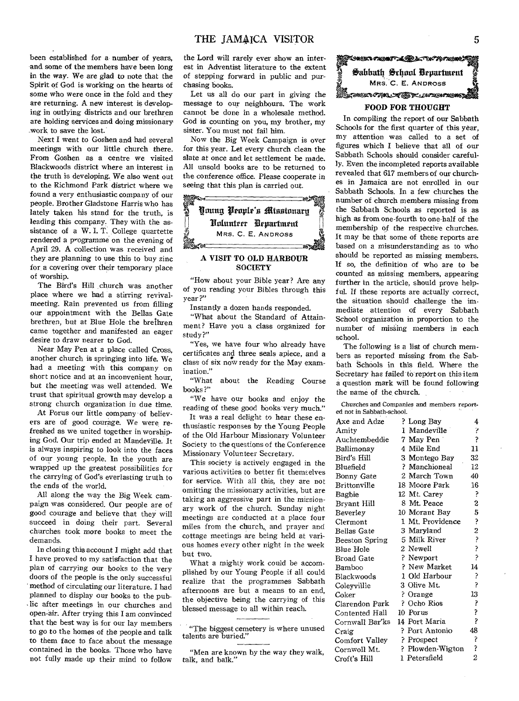been established for a- number of years, and some of the members have been long in the way. We are glad to note that the Spirit of God is working on the hearts of some who were once *in* the fold and they are returning. A new interest is develop. ing in outlying districts and our brethren are holding services and doing missionary work to save the lost.

Next I went to Goshen and had several meetings with our little church there. From Goshen as a centre we visited Blackwoods district where an interest in the truth is developing. We also went out to the Richmond Park district where we found a very enthusiastic company of our people. Brother Gladstone Harris who has lately taken his stand for the truth, is leading this company. They with the assistance of a W. I. T, College quartette rendered a programme on the evening of April 29. A collection was received and they are planning to use this to buy zinc for a covering over their temporary place of worship.

The Bird's Hill church was another place where we had a stirring revivalmeeting. Rain prevented us from filling our appointment with the Bellas Gate brethren, but at Blue Hole the brethren came together and manifested an eager desire to draw nearer to God.

Near May Pen at a place called Cross, another church is springing into life. We had a meeting with this company on short notice and at an inconvenient hour, but the meeting was well attended. We trust that spiritual growth may develop a strong church organization in due time.

At Porus our little company of believers are of good courage. We were refreshed as we united together in worshiping God. Our trip ended at Mandeville. It is always inspiring to look into the faces of our young people. In the youth are wrapped up the greatest possibilities for the carrying of God's everlasting truth to the ends of the world.

All along the way the Big Week campaign was considered. Our people are of good courage and believe that they will succeed in doing their part. Several churches took more books to meet the demands.

In closing this account I might add that I have proved to my satisfaction that the plan of carrying our books to the very doors of the people is the only successful method of circulating our literature. I had planned to display our books to the pub- , lic after meetings in our churches and open-air. After trying this I am convinced that the best way is for our lay members to go to the homes of the people and talk to them face to face about the message contained in the books. Those who have not fully made up their mind to follow

the Lord will rarely ever show an interest in Adventist literature to the extent of stepping forward in public and purchasing books.

Let us all do our part in giving the message to our neighbours. The work cannot be done in a wholesale method. God is counting on you, my brother, my sister. You must not fail him.

Now the Big Week Campaign is over for this year. Let every church clean the slate at once and let settlement be made. All unsold books are to be returned to the conference office. Please cooperate in



# **A VISIT TO OLD HARBOUR SOCIETY**

"How about your Bible **year? Are** any of you reading your Bibles through **this**  year ?"

Instantly a dozen hands responded.

"What about the Standard of Attainment? Have you a class organized for study ?"

"Yes, we have four who already have certificates and three seals apiece, and a class of six now ready for the May examination."

"What about the Reading Course books?'

"We have our books and enjoy the reading of these good books very much."

It was a real delight to hear these enthusiastic responses by the Young People of the Old Harbour Missionary Volunteer Society to the questions of the Conference Missionary Volunteer Secretary.

This society is actively engaged in the various activities to better fit themselves for service. With all this, they are not omitting the missionary activities, but are taking an aggressive part in the missionary work of the church. Sunday night meetings are conducted at a place four miles from the church, and prayer and cottage meetings are being held at various homes every other night in the week but two.

What a mighty work could be accomplished by our Young People if all could realize that the programmes Sabbath afternoons are but a means to an end, the objective being the carrying of this blessed message to all within reach.

"Men are known by the way they walk, talk, and balk."



# **FOOD FOR THOUGHT**

In compiling the report of our Sabbath Schools for the first quarter of this year, my attention was called to a set of *figures* which **I** believe that all of our Sabbath Schools should consider carefully. Even the incompleted reports available revealed that 617 members of our churches in Jamaica are not enrolled in our Sabbath Schools. In a few churches the number of church members missing from the Sabbath Schools as reported is as high as from one-fourth to one-half of the membership of the respective churches. It may be that some of these reports are based on a misunderstanding as to who should be reported as missing members. **If** so, the definition of who are to be counted as missing members, appearing further in the article, should prove helpful. If these reports are actually correct, the situation should challenge the immediate attention of every Sabbath School organization in proportion to the number of missing members in each school.

The following is a list of church members as reported missing from the Sabbath Schools in this field. Where the Secretary has failed to report on this item a question mark will be found following the name of the church.

Churches and Companies and members report. ed not in Sabbath-school.

| Axe and Adze    | ? Long Bay       | 4              |
|-----------------|------------------|----------------|
| Amity           | 1 Mandeville     | þ              |
| Auchtembeddie   | 7 May Pen        | ŗ              |
| Ballimonay      | 4 Mile End       | 11             |
| Bird's Hill     | 3 Montego Bay    | 32             |
| Bluefield       | ? Manchioneal    | 12             |
| Bonny Gate      | 2 March Town     | 40             |
| Brittonville    | 18 Moore Park    | 16             |
| Bagbie          | 12 Mt. Carey     | Ş              |
| Bryant Hill     | 8 Mt. Peace      | 2              |
| Beverley        | 10 Morant Bay    | 5              |
| Clermont        | 1 Mt. Providence | ŗ              |
| Bellas Gate     | 3 Maryland       | 2 ? ? ? ?      |
| Beeston Spring  | 5 Milk River     |                |
| Blue Hole       | 2 Newell         |                |
| Broad Gate      | ? Newport        |                |
| Bamboo          | ? New Market     | 14             |
| Blackwoods      | 1 Old Harbour    | 3              |
| Coleyvillle     | 3 Olive Mt.      | j.             |
| Coker           | ? Orange         | 13             |
| Clarendon Park  | ? Ocho Rios      |                |
| Contented Hall  | 10 Porus         | こうこ            |
| Cornwall Bar'ks | 14 Port Maria    |                |
| Craig           | ? Port Antonio   | 48             |
| Comfort Valley  | ? Prospect       | Ş              |
| Cornwoll Mt.    | ? Plowden-Wigton | ŗ              |
| Croft's Hill    | 1 Petersfield    | $\overline{2}$ |

<sup>&</sup>quot;The biggest cemetery is where unused talents are buried."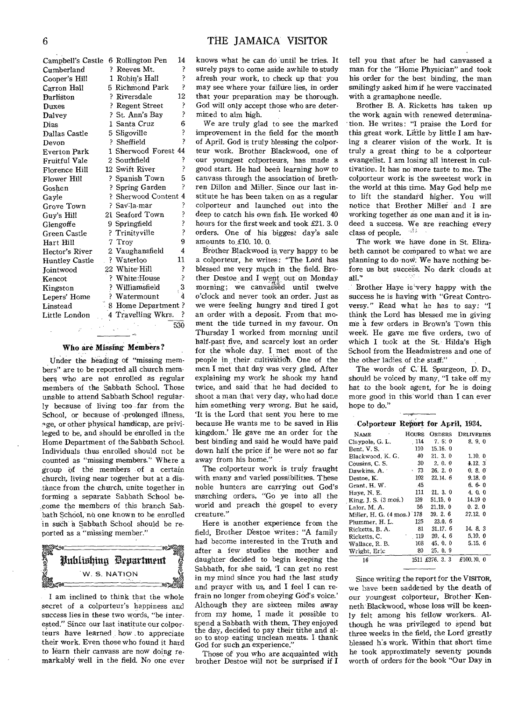| Campbell's Castle     |    | 6 Rollington Pen                | 14            |
|-----------------------|----|---------------------------------|---------------|
| Cumberland            | 9. | Reeves Mt.                      | 3             |
| Cooper's Hill         |    | 1 Robin's Hall                  | ŗ             |
| Carron Hall           |    | 5 Richmond Park                 | þ             |
| <b>Darliston</b>      |    | ? Riversdale                    | 12            |
| Duxes                 |    | ? Regent Street                 | ŗ             |
| Dalvey                |    | ? St. Ann's Bay                 | ?             |
| Dias                  |    | 1 Santa Cruz                    | 6             |
| Dallas Castle         |    | 5 Sligoville                    | ŗ             |
| Devon                 |    | ? Sheffield                     | 7             |
| <b>Everton Park</b>   |    | 1 Sherwood Forest 44            |               |
| Fruitful Vale         |    | 2 Southfield                    | ŗ             |
| Florence Hill         |    | 12 Swift River                  | ?             |
| Flower Hill           |    | ? Spanish Town                  | 5             |
| Goshen                |    | ? Spring Garden                 | P             |
| Gayle                 |    | ? Sherwood Content 4            |               |
| Grove Town            |    | ? Sav∙la-mar                    |               |
| Guy's Hill            |    | 21 Seaford Town                 | こうこう          |
| Glengoffe             |    | 9 Springfield                   |               |
| Green Castle          |    | ? Trinityville                  |               |
| Hart Hill             |    | 7 Troy                          | 9             |
| Hector's River        |    | 2 Vaughansfield                 | 4             |
| <b>Huntley Castle</b> |    | ? Waterloo                      | 11            |
| <b>Jointwood</b>      |    | 22 White Hill                   | ŗ             |
| Kencot                |    | ? White:House                   | Ş             |
| Kingston              |    | ? Williamsfield<br>? Watermount | $\frac{3}{4}$ |
| Lepers' Home          |    |                                 |               |
| Linstead              |    | 8 Home Department ?             |               |
| Little London         |    | 4 Travelling Wkrs.              | ?             |
|                       |    |                                 | 530           |

# **Who are Missing-Members?**

Under the heading of "missing members" are to be reported all church members who are not enrolled as regular members of the Sabbath School. Those unable to attend Sabbath School regularly because of living too far from the School, or because of -prolonged illness, qge, or other physical handicap, are privileged to be, and should be enrolled in the Home Department of the Sabbath School. Individuals thus enrolled should not be counted as "missing members." Where a group of the members of a certain church, living near together but at a distance from the church, unite together in forming a separate Sabbath School be- .come the members of this branch Sabbath School, no one known to be enrolled in such "a Sabbath School should be reported as a "missing member."

Bublishing Bepartment W. S. NATION

I am inclined to think that the whole secret of a coIporteur's happiness and success lies in these two words, "be interested." Since our last institute our colporteurs have learned: how \_to appreciate their work. Even those who found it hard to learn their canvass are now doing remarkably well in the field. No one ever knows what he can do until he tries. It surely pays to come aside awhile to study afresh your work, to check up that you may see where your failiire lies, in order that your preparation may be thorough. God will only accept those who are determined to aim high.

We are truly glad to see the marked improvement in the field for the month of April. God is truly blessing the colporteur work. Brother Blackwood, one of our youngest colporteurs, has made a good start. He had been learning how to canvass through the association of brethren Dillon and Miller. Since our last institute he has been taken on as a regular colporteur and launched out into the deep to catch his own fish. He worked 40 hours for the first week and took £21. 3. 0 orders. One of his biggest day's sale amounts to.E10. 10. 0.

Brother Blackwood is, very happy to be a colporteur, he writes: "The Lord has blessed me very much in the field. Brother Destoe and I went out on Monday morning; we canvassed until twelve o'clock and never took an order. Just as we were feeling hungry and tired I got an order with a deposit. From that moment the tide turned in my favour. On Thursday I worked from morning until half-past five, and scarcely lost an order for the whole day. I met most of the people in their cultivation. One of the men I met that day was very glad. After explaining my work he shook my hand twice, and said that he had decided to shoot a man that very day, who had done him something very wrong. But he said, `It is the Lord that sent you here to me because He wants me to be saved in His kingdom.' He gave me an order for the best binding and said he would have paid down half the price if be were not so far away from his home."

The colporteur work is truly fraught with many and varied possibilities. These noble hunters are carrying out God's marching orders, "Go ye into all the world and preach the gospel to every creature."

Here is another experience from the field, Brother Destoe writes: "A family had become interested in the Truth and after a few studies the mother and daughter decided to begin keeping the Sabbath, for she said, 'I can get no rest in my mind since you had the last study and prayer with us, and I feel I can refrain no longer from obeying God's voice.' Although they are sixteen miles away from my home, I made it possible to spend a Sabbath with them. They enjoyed the day, decided to pay their tithe and also to stop eating unclean meats. I thank God for such an experience."

Those of you who are acquainted with brother Destoe will not be surprised if **I**  tell you that after he had canvassed a man for the "Home Physician" and took his order for the best binding, the man smilingly asked him if he were vaccinated with a gramaphone needle.

Brother B. A. Ricketts has taken up the work again with renewed determination. He writes: "I praise the Lord for this great work. Little by little I am having a clearer vision of the work. It is truly a great thing to be a colporteur evangelist. **I** am losing all interest in cultivation. It has no more taste to me. The colporteur work is the sweetest work in the world at this time. May God help me to lift the standard higher. You will notice that Brother Miller and I are working together as one man and it is indeed a success. We are reaching every class of people.

The work we have done in St. Elizabeth cannot be compared to what we are planning to do now. We have nothing before us but success. No dark clouds at all."

Brother Haye is very happy with the success he is having with "Great Controversy." Read what he has to say: **"I**  think the Lord has blessed me in giving me a few orders in Brown's Town this week. He gave me five orders, two of which **I** took at the St. Hilda's High School from the Headmistress and one of the other ladies of the staff:"

The words of C. H. Spurgeon, D. D., should be voiced by many, "I take off my hat to the book agent, for he is doing more good in this'world than I can ever hope to do."

#### **Colporteur Report for April, 1934.**

| <b>NAME</b>                | HOURS | ORDERS     | DELIVERIES            |
|----------------------------|-------|------------|-----------------------|
| Claypole, G. L.            | 114   | 7.5:0      | 8, 9, 0               |
| Bent, V. S                 | 110   | 15.16.0    |                       |
| Blackwood, K. G.           | 40    | 21, 3, 0   | 1.10.0                |
| Cousins, C. S.             | 30    | 2.0.0      | 4.12.3                |
| Dawkins. A.                | .73   | 26.2.0     | 0, 8, 0               |
| Destoe, K.                 | 102   | 22.14.6    | 9.18.0                |
| Grant. H. W.               | .45   |            | 6.6-0                 |
| Haye, N. E.                | 111   | 21.3.0     | 4.0.0                 |
| King, J. S. (3 mos.)       | 139   | 51.15.0    | 14.19 0               |
| Lalor. M. A.               | 56    | 21.19.0    | 0.2.0                 |
| Miller, H. G. (4 mos.) 178 |       | 39.26      | 27.12.0               |
| Plummer, H. L.             | 125   | 23.0.6     |                       |
| Ricketts, B. A.            | 81    | 31.17.6    | 14.8.3                |
| Ricketts, C.               | 119   | 20.4.6     | 5.10.0                |
| Wallace, R. B.             | 108   | 45.0.0     | 5.15.6                |
| Wright, Eric               | 80    | 25.0.9     |                       |
| 10 <sup>2</sup>            | 7671  | C2762<br>s | <b>C100 10</b><br>- 0 |

16 1511 £376. 3. 3 £100.10, 0

Since writing the report for the VISITOR, we have been saddened by the death of our youngest colporteur, Brother Kenneth Blackwood, whose loss will be keenly felt among his fellow workers. Although he was privileged to spend but three weeks in the field, the Lord greatly blessed his work. Within that short time he took approximately seventy pounds worth of orders for the book "Our Day in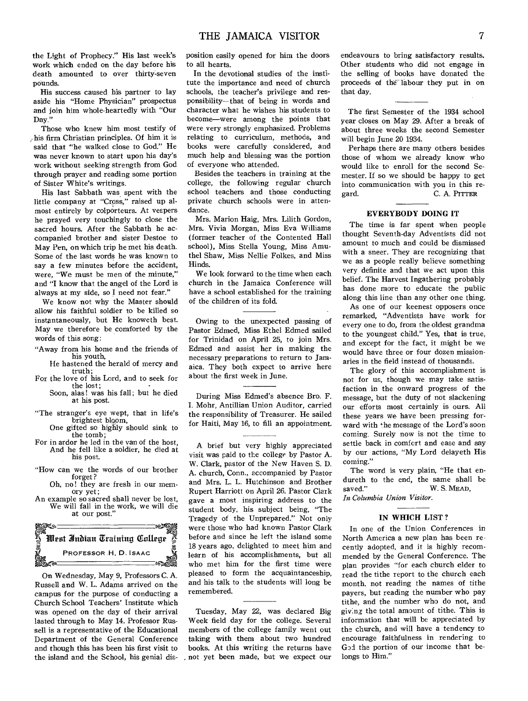the Light of Prophecy." His last week's work which ended on the day before his death amounted to over thirty-seven pounds.

His success caused his partner to lay aside his "Home Physician" prospectus and join him whole-heartedly with "Our Day."

Those who knew him most testify of ,.his firm Christian principles. Of him it is said that "he walked close to God." He was never known to start upon his day's work without seeking strength from God through prayer and reading some portion of Sister White's writings.

His last Sabbath was spent with the little company at "Cross," raised up almost entirely by colporteurs. At vespers he prayed very touchingly to close the sacred hours. After the Sabbath he accompanied brother and sister Destoe to May Pen, on which trip he met his death. Some of the last words he was known to say a few minutes before the accident, were, "We must be men of the minute," and "I know that the angel of the Lord is always at my side, so **I** need not fear."

We know not why the Master should allow his faithful soldier to be killed so instantaneously, but He knoweth best. May we therefore be comforted by the words of this song:

- "Away from his home and the friends of his youth,
- He hastened the herald of mercy and truth;
- For the love of his Lord, and to seek for the lost; Soon, alas! was his fall; but he died
	- at his post.
- "The stranger's eye wept, that in life's brightest bloom, One gifted so highly should sink to
- the tomb ; For in ardor he led in the van of the host,
- And he fell like a soldier, he died at his nost.
- "How can we the words of our brother forget?
	- Oh, no! they are fresh in our memory yet;
- An example so sacred shall never be lost, We will fall in the work, we will die at our post."



On Wednesday, May 9, Professors C. A. Russell and W. L. Adams arrived on the campus for the purpose of conducting a Church School Teachers' Institute which was opened on the day of their arrival lasted through to May 14. Professor Russell is a representative of the Educational Department of the General Conference and though this has been his first visit to the island and the School, his genial disposition easily opened for him the doors to all hearts.

In the devotional studies of the institute the importance and need of church schools, the teacher's privilege and responsibility—that of being in words and character what he wishes his students to become—were among the points that were very strongly emphasized. Problems relating to curriculum, methods, and books were carefully considered, and much help and blessing was the portion of everyone who attended.

Besides the teachers in training at the college, the following regular church school teachers and those conducting private church schools were in attendance.

Mrs. Marion Haig, Mrs. Lilith Gordon, Mrs. Vivia Morgan, Miss Eva Williams (former teacher of the Contented Hall school), Miss Stella Young, Miss Amuthel Shaw, Miss Nellie Folkes, and Miss Hinds.

We look forward to the time when each church in the Jamaica Conference will have a school established for the training of the children of its fold.

Owing to the unexpected passing of Pastor Edmed, Miss Ethel Edmed sailed for Trinidad on April 25, to join Mrs. Edmed and assist her in making the necessary preparations to return to Jamaica. They both expect to arrive here about the first week in June.

During Miss Edmed's absence Bro. F. I. Mohr, Antillian Union Auditor, carried the responsibility of Treasurer. He sailed for Haiti, May 16, to fill an appointment.

**A** brief but very highly appreciated visit was paid to the college by Pastor A. W. Clark, pastor of the New Haven S. D. A. church, Conn., accompanied by Pastor and Mrs. L. L. Hutchinson and Brother Rupert Harriott on April 26. Pastor Clark gave a most inspiring address to the student body, his subject being, "The Tragedy of the Unprepared." Not only were those who had known Pastor Clark before and since he left the island some 18 years ago, delighted to meet him and learn of his accomplishments, but all who met him for the first time were pleased to form the acquaintanceship, and his talk to the students will long be remembered.

Tuesday, May 22, was declared Big Week field day for the college. Several members of the college family went out taking with them about two hundred books. At this writing the returns have , not yet been made, but we expect our

endeavours to bring satisfactory results. Other students who did not engage in the selling of books have donated the proceeds of the labour they put in on that day.

The first Semester of the 1934 school year closes on May 29. After a break of about three weeks the second Semester will begin June 20 1934.

Perhaps there are many others besides those of whom we already know who would like to enroll for the second Semester. If so we should be happy to get into communication with you in this regard. C. A. PITFER

#### **EVERYBODY DOING IT**

The time is far spent when people thought Seventh-day Adventists did not amount to much and could be dismissed with a sneer. They are recognizing that we as a people really believe something very definite and that we act upon this belief. The Harvest Ingathering probably has done more to educate the public along this line than any other one thing.

As one of our keenest opposers once remarked, "Adventists have work for every one to do, from the oldest grandma to the youngest child." Yes, that is true, and except for the fact, it might be we would have three or four dozen missionaries in the field instead of thousands.

The glory of this accomplishment is not for us, though we may take satisfaction in the onward progress of the message, but the duty of not slackening our efforts most certainly is ours. All these years we have been pressing forward with the message of the Lord's soon coming. Surely now is not the time to settle back in comfort and ease and say by our actions, "My Lord delayeth His coming."

The word is very plain, "He that endureth to the end, the same shall be saved." W.S. MEAD, W. S. MEAD,

*In Columbia Union Visitor.* 

#### **IN WHICH LIST?**

In one of the Union Conferences in North America a new plan has been recently adopted, and it is highly recommended by the General Conference. The plan provides "for each church elder to read the tithe report to the church each month, not reading the names of tithe payers, but reading the number who pay tithe, and the number who do not, and giving the total amount of tithe. This is information that will be appreciated by the church, and will have a tendency to encourage faithfulness in rendering to God the portion of our income that belongs to Him."